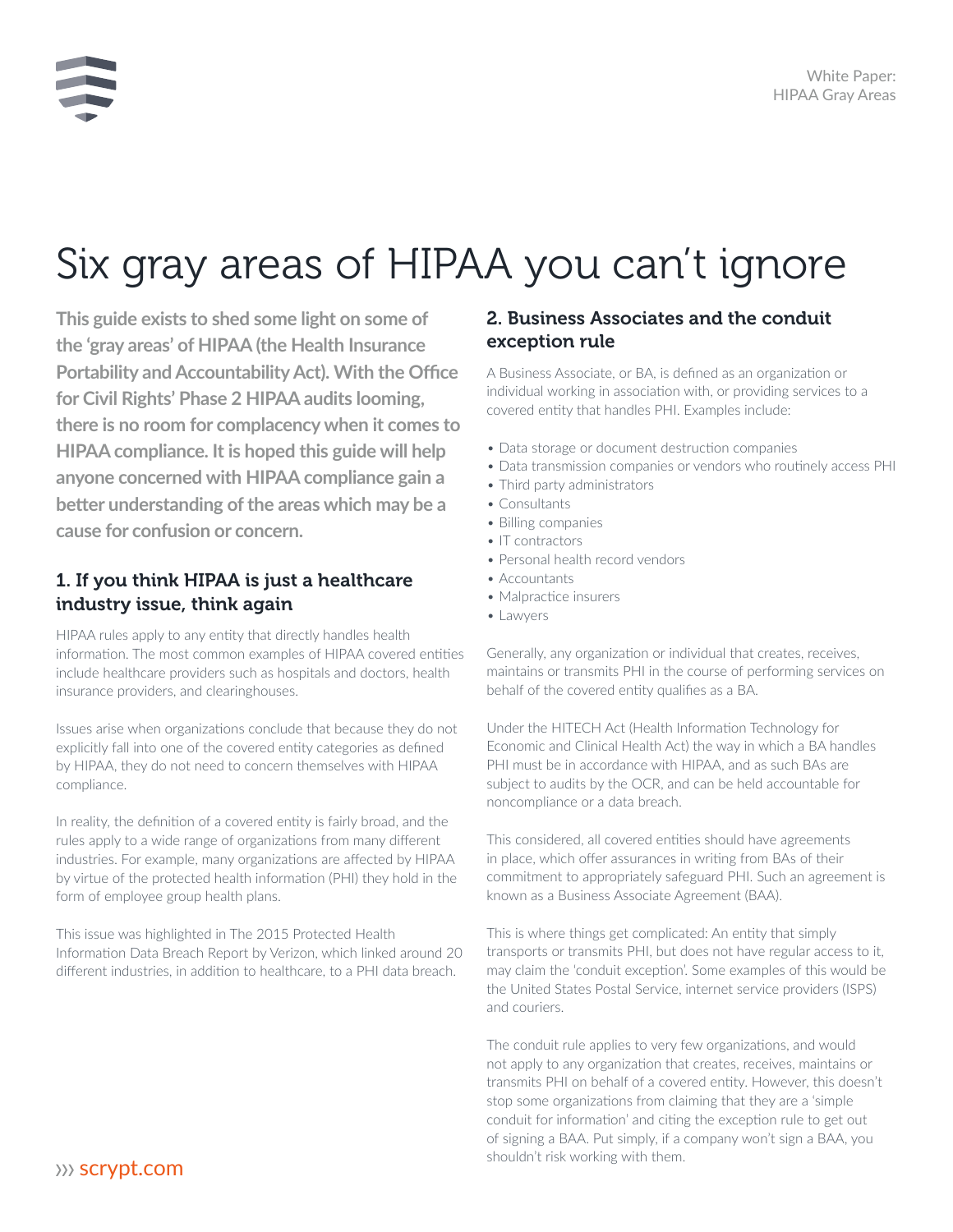# Six gray areas of HIPAA you can't ignore

**This guide exists to shed some light on some of the 'gray areas' of HIPAA (the Health Insurance Portability and Accountability Act). With the Office for Civil Rights' Phase 2 HIPAA audits looming, there is no room for complacency when it comes to HIPAA compliance. It is hoped this guide will help anyone concerned with HIPAA compliance gain a better understanding of the areas which may be a cause for confusion or concern.**

## 1. If you think HIPAA is just a healthcare industry issue, think again

HIPAA rules apply to any entity that directly handles health information. The most common examples of HIPAA covered entities include healthcare providers such as hospitals and doctors, health insurance providers, and clearinghouses.

Issues arise when organizations conclude that because they do not explicitly fall into one of the covered entity categories as defined by HIPAA, they do not need to concern themselves with HIPAA compliance.

In reality, the definition of a covered entity is fairly broad, and the rules apply to a wide range of organizations from many different industries. For example, many organizations are affected by HIPAA by virtue of the protected health information (PHI) they hold in the form of employee group health plans.

This issue was highlighted in The 2015 Protected Health Information Data Breach Report by Verizon, which linked around 20 different industries, in addition to healthcare, to a PHI data breach.

## 2. Business Associates and the conduit exception rule

A Business Associate, or BA, is defined as an organization or individual working in association with, or providing services to a covered entity that handles PHI. Examples include:

- Data storage or document destruction companies
- Data transmission companies or vendors who routinely access PHI
- Third party administrators
- Consultants
- Billing companies
- IT contractors
- Personal health record vendors
- Accountants
- Malpractice insurers
- Lawyers

Generally, any organization or individual that creates, receives, maintains or transmits PHI in the course of performing services on behalf of the covered entity qualifies as a BA.

Under the HITECH Act (Health Information Technology for Economic and Clinical Health Act) the way in which a BA handles PHI must be in accordance with HIPAA, and as such BAs are subject to audits by the OCR, and can be held accountable for noncompliance or a data breach.

This considered, all covered entities should have agreements in place, which offer assurances in writing from BAs of their commitment to appropriately safeguard PHI. Such an agreement is known as a Business Associate Agreement (BAA).

This is where things get complicated: An entity that simply transports or transmits PHI, but does not have regular access to it, may claim the 'conduit exception'. Some examples of this would be the United States Postal Service, internet service providers (ISPS) and couriers.

The conduit rule applies to very few organizations, and would not apply to any organization that creates, receives, maintains or transmits PHI on behalf of a covered entity. However, this doesn't stop some organizations from claiming that they are a 'simple conduit for information' and citing the exception rule to get out of signing a BAA. Put simply, if a company won't sign a BAA, you Shouldn't risk working with them.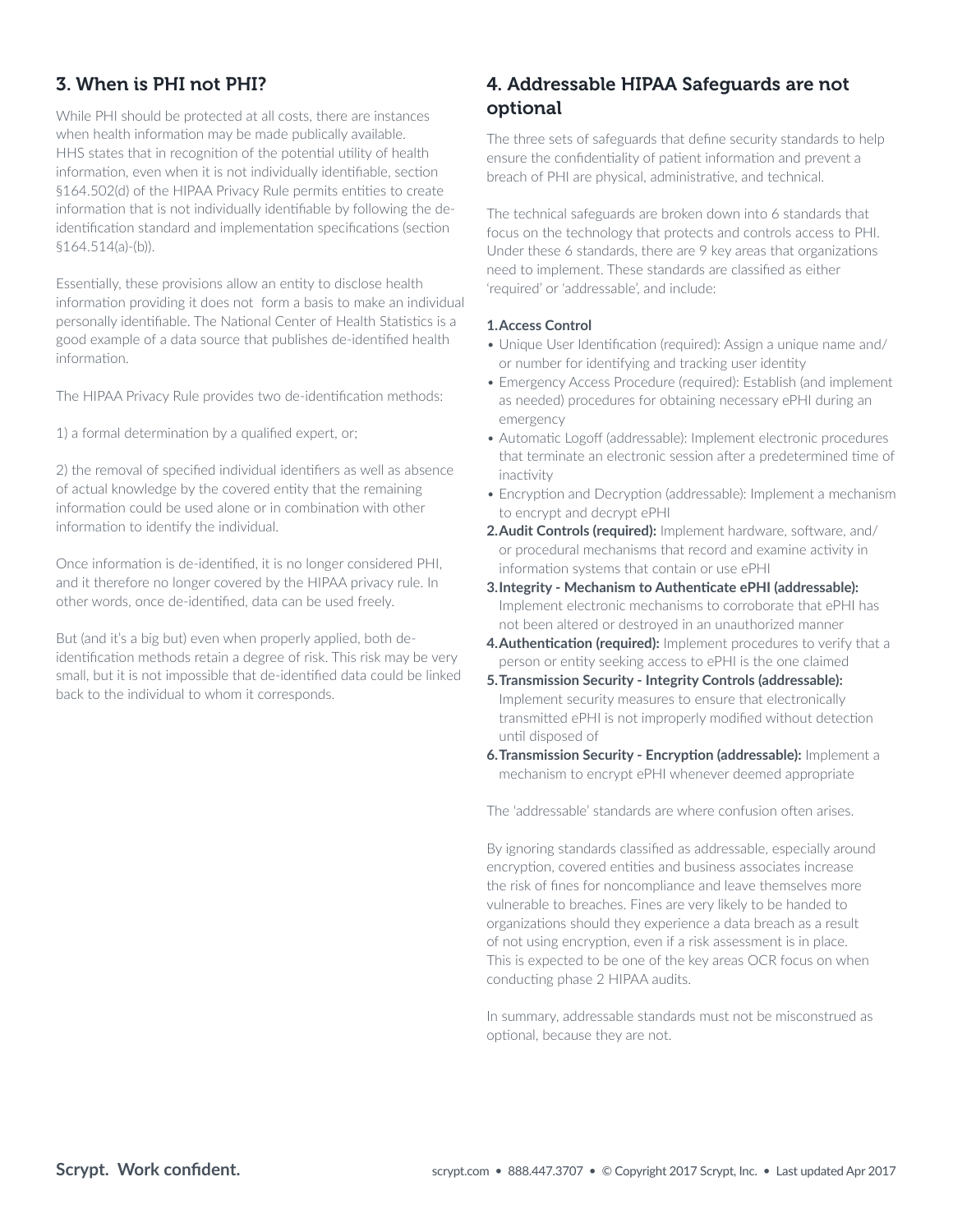## 3. When is PHI not PHI?

While PHI should be protected at all costs, there are instances when health information may be made publically available. HHS states that in recognition of the potential utility of health information, even when it is not individually identifiable, section §164.502(d) of the HIPAA Privacy Rule permits entities to create information that is not individually identifiable by following the deidentification standard and implementation specifications (section §164.514(a)-(b)).

Essentially, these provisions allow an entity to disclose health information providing it does not form a basis to make an individual personally identifiable. The National Center of Health Statistics is a good example of a data source that publishes de-identified health information.

The HIPAA Privacy Rule provides two de-identification methods:

1) a formal determination by a qualified expert, or;

2) the removal of specified individual identifiers as well as absence of actual knowledge by the covered entity that the remaining information could be used alone or in combination with other information to identify the individual.

Once information is de-identified, it is no longer considered PHI, and it therefore no longer covered by the HIPAA privacy rule. In other words, once de-identified, data can be used freely.

But (and it's a big but) even when properly applied, both deidentification methods retain a degree of risk. This risk may be very small, but it is not impossible that de-identified data could be linked back to the individual to whom it corresponds.

## 4. Addressable HIPAA Safeguards are not optional

The three sets of safeguards that define security standards to help ensure the confidentiality of patient information and prevent a breach of PHI are physical, administrative, and technical.

The technical safeguards are broken down into 6 standards that focus on the technology that protects and controls access to PHI. Under these 6 standards, there are 9 key areas that organizations need to implement. These standards are classified as either 'required' or 'addressable', and include:

#### **1.Access Control**

- Unique User Identification (required): Assign a unique name and/ or number for identifying and tracking user identity
- Emergency Access Procedure (required): Establish (and implement as needed) procedures for obtaining necessary ePHI during an emergency
- Automatic Logoff (addressable): Implement electronic procedures that terminate an electronic session after a predetermined time of inactivity
- Encryption and Decryption (addressable): Implement a mechanism to encrypt and decrypt ePHI
- **2.Audit Controls (required):** Implement hardware, software, and/ or procedural mechanisms that record and examine activity in information systems that contain or use ePHI
- **3.Integrity Mechanism to Authenticate ePHI (addressable):**  Implement electronic mechanisms to corroborate that ePHI has not been altered or destroyed in an unauthorized manner
- **4.Authentication (required):** Implement procedures to verify that a person or entity seeking access to ePHI is the one claimed
- **5.Transmission Security Integrity Controls (addressable):** Implement security measures to ensure that electronically transmitted ePHI is not improperly modified without detection until disposed of
- **6.Transmission Security Encryption (addressable):** Implement a mechanism to encrypt ePHI whenever deemed appropriate

The 'addressable' standards are where confusion often arises.

By ignoring standards classified as addressable, especially around encryption, covered entities and business associates increase the risk of fines for noncompliance and leave themselves more vulnerable to breaches. Fines are very likely to be handed to organizations should they experience a data breach as a result of not using encryption, even if a risk assessment is in place. This is expected to be one of the key areas OCR focus on when conducting phase 2 HIPAA audits.

In summary, addressable standards must not be misconstrued as optional, because they are not.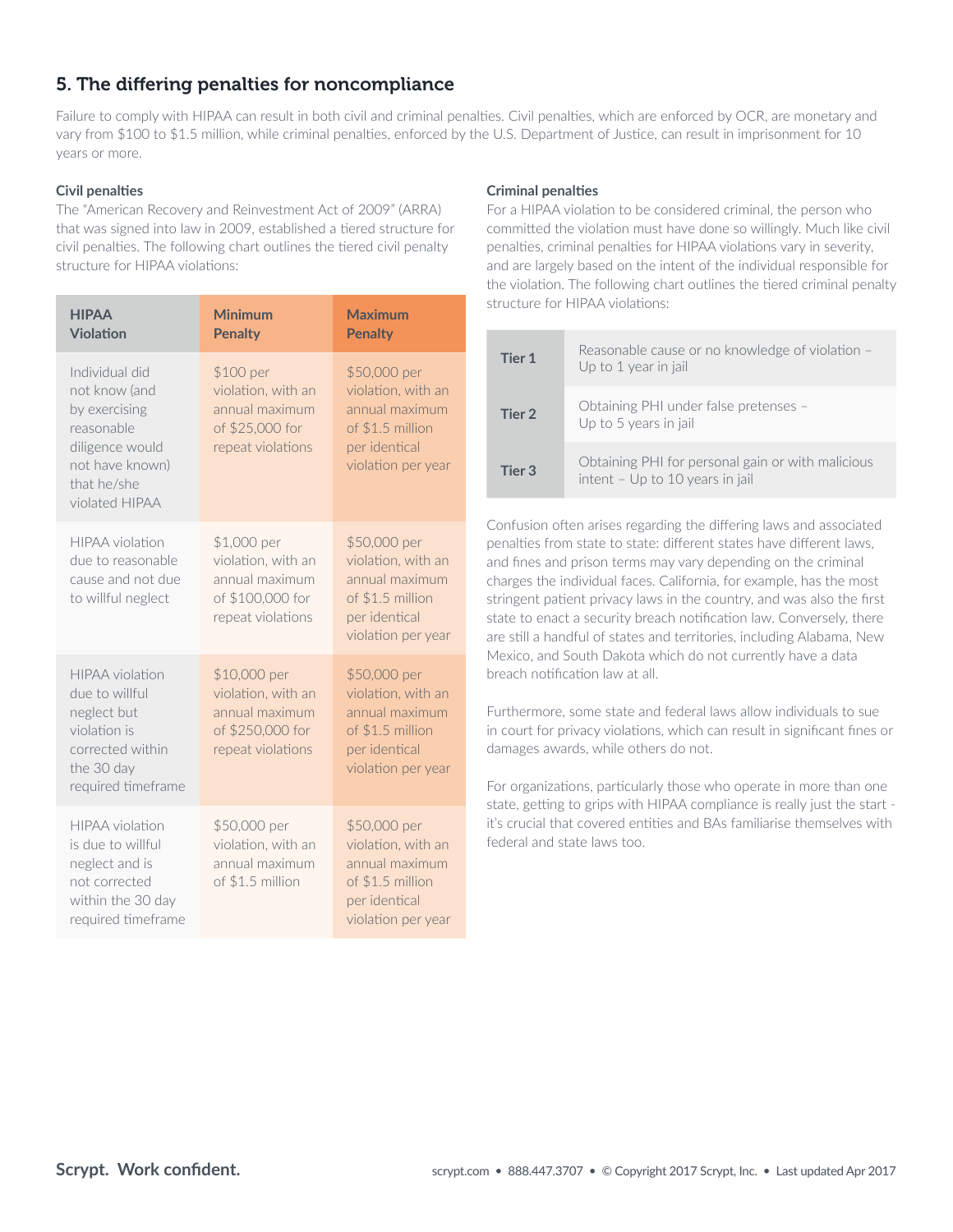## 5. The differing penalties for noncompliance

Failure to comply with HIPAA can result in both civil and criminal penalties. Civil penalties, which are enforced by OCR, are monetary and vary from \$100 to \$1.5 million, while criminal penalties, enforced by the U.S. Department of Justice, can result in imprisonment for 10 years or more.

#### **Civil penalties**

The "American Recovery and Reinvestment Act of 2009" (ARRA) that was signed into law in 2009, established a tiered structure for civil penalties. The following chart outlines the tiered civil penalty structure for HIPAA violations:

| <b>HIPAA</b><br><b>Violation</b>                                                                                                      | <b>Minimum</b><br><b>Penalty</b>                                                              | <b>Maximum</b><br><b>Penalty</b>                                                                                |
|---------------------------------------------------------------------------------------------------------------------------------------|-----------------------------------------------------------------------------------------------|-----------------------------------------------------------------------------------------------------------------|
| Individual did<br>not know (and<br>by exercising<br>reasonable<br>diligence would<br>not have known)<br>that he/she<br>violated HIPAA | \$100 per<br>violation, with an<br>annual maximum<br>of \$25,000 for<br>repeat violations     | \$50,000 per<br>violation, with an<br>annual maximum<br>of \$1.5 million<br>per identical<br>violation per year |
| <b>HIPAA</b> violation<br>due to reasonable<br>cause and not due<br>to willful neglect                                                | \$1,000 per<br>violation, with an<br>annual maximum<br>of \$100,000 for<br>repeat violations  | \$50,000 per<br>violation, with an<br>annual maximum<br>of \$1.5 million<br>per identical<br>violation per year |
| <b>HIPAA</b> violation<br>due to willful<br>neglect but<br>violation is<br>corrected within<br>the 30 day<br>required timeframe       | \$10,000 per<br>violation, with an<br>annual maximum<br>of \$250,000 for<br>repeat violations | \$50,000 per<br>violation, with an<br>annual maximum<br>of \$1.5 million<br>per identical<br>violation per year |
| <b>HIPAA</b> violation<br>is due to willful<br>neglect and is<br>not corrected<br>within the 30 day<br>required timeframe             | \$50,000 per<br>violation, with an<br>annual maximum<br>of \$1.5 million                      | \$50,000 per<br>violation, with an<br>annual maximum<br>of \$1.5 million<br>per identical<br>violation per year |

#### **Criminal penalties**

For a HIPAA violation to be considered criminal, the person who committed the violation must have done so willingly. Much like civil penalties, criminal penalties for HIPAA violations vary in severity, and are largely based on the intent of the individual responsible for the violation. The following chart outlines the tiered criminal penalty structure for HIPAA violations:

| Tier 1 | Reasonable cause or no knowledge of violation -<br>Up to 1 year in jail              |
|--------|--------------------------------------------------------------------------------------|
| Tier 2 | Obtaining PHI under false pretenses -<br>Up to 5 years in jail                       |
| Tier 3 | Obtaining PHI for personal gain or with malicious<br>intent - Up to 10 years in jail |

Confusion often arises regarding the differing laws and associated penalties from state to state: different states have different laws, and fines and prison terms may vary depending on the criminal charges the individual faces. California, for example, has the most stringent patient privacy laws in the country, and was also the first state to enact a security breach notification law. Conversely, there are still a handful of states and territories, including Alabama, New Mexico, and South Dakota which do not currently have a data breach notification law at all.

Furthermore, some state and federal laws allow individuals to sue in court for privacy violations, which can result in significant fines or damages awards, while others do not.

For organizations, particularly those who operate in more than one state, getting to grips with HIPAA compliance is really just the start it's crucial that covered entities and BAs familiarise themselves with federal and state laws too.